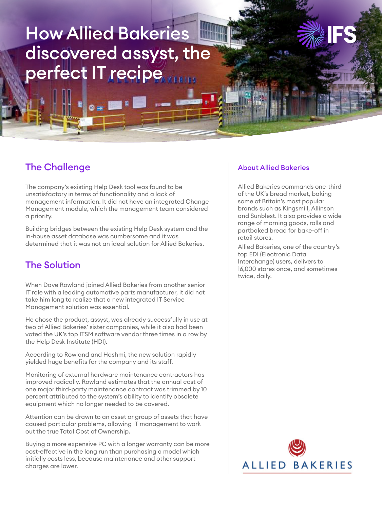# How Allied Bakeries discovered assyst, the perfect IT recipe

## The Challenge

The company's existing Help Desk tool was found to be unsatisfactory in terms of functionality and a lack of management information. It did not have an integrated Change Management module, which the management team considered a priority.

Building bridges between the existing Help Desk system and the in-house asset database was cumbersome and it was determined that it was not an ideal solution for Allied Bakeries.

## The Solution

When Dave Rowland joined Allied Bakeries from another senior IT role with a leading automotive parts manufacturer, it did not take him long to realize that a new integrated IT Service Management solution was essential.

He chose the product, assyst, was already successfully in use at two of Allied Bakeries' sister companies, while it also had been voted the UK's top ITSM software vendor three times in a row by the Help Desk Institute (HDI).

According to Rowland and Hashmi, the new solution rapidly yielded huge benefits for the company and its staff.

Monitoring of external hardware maintenance contractors has improved radically. Rowland estimates that the annual cost of one major third-party maintenance contract was trimmed by 10 percent attributed to the system's ability to identify obsolete equipment which no longer needed to be covered.

Attention can be drawn to an asset or group of assets that have caused particular problems, allowing IT management to work out the true Total Cost of Ownership.

Buying a more expensive PC with a longer warranty can be more cost-effective in the long run than purchasing a model which initially costs less, because maintenance and other support charges are lower.

#### About Allied Bakeries

Allied Bakeries commands one-third of the UK's bread market, baking some of Britain's most popular brands such as Kingsmill, Allinson and Sunblest. It also provides a wide range of morning goods, rolls and partbaked bread for bake-off in retail stores.

Allied Bakeries, one of the country's top EDI (Electronic Data Interchange) users, delivers to 16,000 stores once, and sometimes twice, daily.